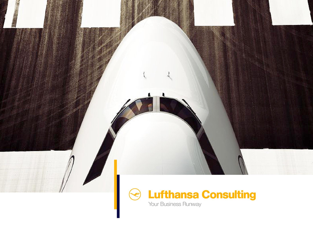

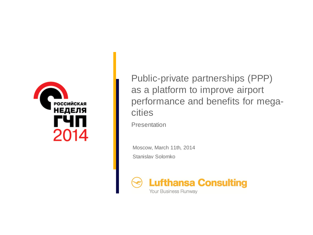

Public-private partnerships (PPP) as a platform to improve airport performance and benefits for megacities

Presentation

Moscow, March 11th, 2014 Stanislav Solomko

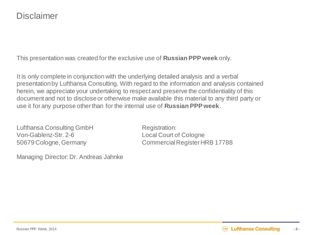This presentation was created for the exclusive use of **Russian PPP week** only.

It is only complete in conjunction with the underlying detailed analysis and a verbal presentation by Lufthansa Consulting. With regard to the information and analysis contained herein, we appreciate your undertaking to respect and preserve the confidentiality of this document and not to disclose or otherwise make available this material to any third party or use it for any purpose other than for the internal use of **Russian PPP week**.

Lufthansa Consulting GmbH Registration: Von-Gablenz-Str. 2-6 Local Court of Cologne

Managing Director: Dr. Andreas Jahnke

50679 Cologne, Germany Commercial Register HRB 17788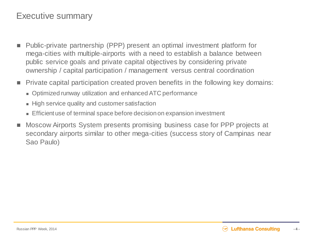## Executive summary

- Public-private partnership (PPP) present an optimal investment platform for mega-cities with multiple-airports with a need to establish a balance between public service goals and private capital objectives by considering private ownership / capital participation / management versus central coordination
- Private capital participation created proven benefits in the following key domains:
	- Optimized runway utilization and enhanced ATC performance
	- High service quality and customer satisfaction
	- **Efficient use of terminal space before decision on expansion investment**
- Moscow Airports System presents promising business case for PPP projects at secondary airports similar to other mega-cities (success story of Campinas near Sao Paulo)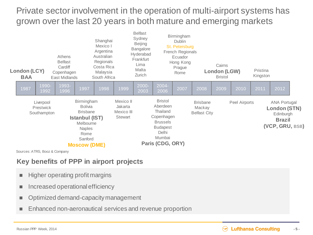## Private sector involvement in the operation of multi-airport systems has grown over the last 20 years in both mature and emerging markets

| Athens<br><b>Belfast</b><br>Cardiff<br>London (LCY)<br>Copenhagen<br><b>BAA</b><br>East Midlands |               | Shanghai<br>Mexico I<br>Argentina<br>Australian<br>Regionals<br>Costa Rica<br>Malaysia<br>South Africa                                           |                                               | <b>Belfast</b><br>Sydney<br><b>Beijing</b><br><b>Bangalore</b><br>Hyderabad<br>Frankfurt<br>Lima<br>Malta<br>Zurich | Birmingham<br><b>Dublin</b><br>St. Petersburg<br>French Regionals<br>Ecuador<br>Hong Kong<br>Prague<br>Rome                       |      | Cairns<br><b>London (LGW)</b><br><b>Bristol</b>  |      |               | Pristina<br>Kingston |                                                                                             |  |
|--------------------------------------------------------------------------------------------------|---------------|--------------------------------------------------------------------------------------------------------------------------------------------------|-----------------------------------------------|---------------------------------------------------------------------------------------------------------------------|-----------------------------------------------------------------------------------------------------------------------------------|------|--------------------------------------------------|------|---------------|----------------------|---------------------------------------------------------------------------------------------|--|
| 1990-<br>1987<br>1992                                                                            | 1993-<br>1996 | 1997<br>1998                                                                                                                                     | 1999                                          | 2000-<br>2003                                                                                                       | $2004 -$<br>2006                                                                                                                  | 2007 | 2008                                             | 2009 | 2010          | 2011                 | 2012                                                                                        |  |
| Liverpool<br>Prestwick<br>Southampton                                                            |               | Birmingham<br><b>Bolivia</b><br><b>Brisbane</b><br><b>Istanbul (IST)</b><br>Melbourne<br><b>Naples</b><br>Rome<br>Sanford<br><b>Moscow (DME)</b> | Mexico II<br>Jakarta<br>Mexico III<br>Stewart |                                                                                                                     | <b>Bristol</b><br>Aberdeen<br>Thailand<br>Copenhagen<br><b>Brussels</b><br><b>Budapest</b><br>Delhi<br>Mumbai<br>Paris (CDG, ORY) |      | <b>Brisbane</b><br>Mackay<br><b>Belfast City</b> |      | Peel Airports |                      | <b>ANA Portugal</b><br><b>London (STN)</b><br>Edinburgh<br><b>Brazil</b><br>(VCP, GRU, BSB) |  |

Sources: ATRS, Booz & Company

## **Key benefits of PPP in airport projects**

- Higher operating profit margins
- **Increased operational efficiency**
- **Optimized demand-capacity management**
- Enhanced non-aeronautical services and revenue proportion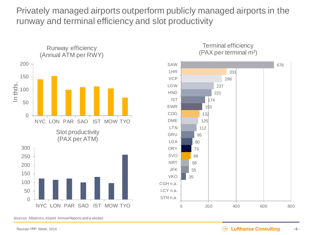Privately managed airports outperform publicly managed airports in the runway and terminal efficiency and slot productivity



Sources: Albatross, Airport Annual Reports and w ebsites



Terminal efficiency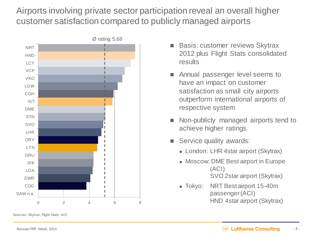Airports involving private sector participation reveal an overall higher customer satisfaction compared to publicly managed airports



- 2012 plus Flight Stats consolidated results
- Annual passenger level seems to have an impact on customer satisfaction as small city airports outperform international airports of respective system
- Non-publicly managed airports tend to achieve higher ratings
- Service quality awards:
	- **London: LHR 4star airport (Skytrax)**
	- **Moscow: DME Best airport in Europe** (ACI) SVO 2star airport (Skytrax)
	- **Tokyo: NRT Best airport 15-40m** passenger (ACI) HND 4star airport (Skytrax)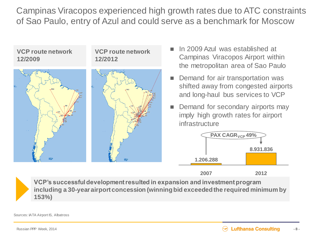Campinas Viracopos experienced high growth rates due to ATC constraints of Sao Paulo, entry of Azul and could serve as a benchmark for Moscow



**VCP's successful development resulted in expansion and investment program including a 30-year airport concession (winning bid exceeded the required minimum by 153%)**

Sources: IATA Airport IS, Albatross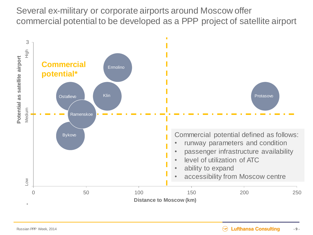Several ex-military or corporate airports around Moscow offer commercial potential to be developed as a PPP project of satellite airport